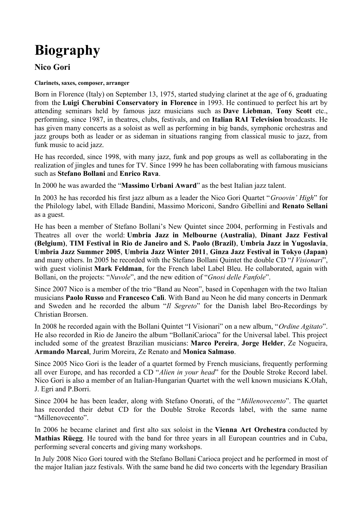## **Biography**

## **Nico Gori**

## **Clarinets, saxes, composer, arranger**

Born in Florence (Italy) on September 13, 1975, started studying clarinet at the age of 6, graduating from the **Luigi Cherubini Conservatory in Florence** in 1993. He continued to perfect his art by attending seminars held by famous jazz musicians such as **Dave Liebman**, **Tony Scott** etc., performing, since 1987, in theatres, clubs, festivals, and on **Italian RAI Television** broadcasts. He has given many concerts as a soloist as well as performing in big bands, symphonic orchestras and jazz groups both as leader or as sideman in situations ranging from classical music to jazz, from funk music to acid jazz.

He has recorded, since 1998, with many jazz, funk and pop groups as well as collaborating in the realization of jingles and tunes for TV. Since 1999 he has been collaborating with famous musicians such as **Stefano Bollani** and **Enrico Rava**.

In 2000 he was awarded the "**Massimo Urbani Award**" as the best Italian jazz talent.

In 2003 he has recorded his first jazz album as a leader the Nico Gori Quartet "*Groovin' High*" for the Philology label, with Ellade Bandini, Massimo Moriconi, Sandro Gibellini and **Renato Sellani** as a guest.

He has been a member of Stefano Bollani's New Quintet since 2004, performing in Festivals and Theatres all over the world: **Umbria Jazz in Melbourne (Australia)**, **Dinant Jazz Festival (Belgium)**, **TIM Festival in Rio de Janeiro and S. Paolo (Brazil)**, **Umbria Jazz in Yugoslavia**, **Umbria Jazz Summer 2005**, **Umbria Jazz Winter 2011**, **Ginza Jazz Festival in Tokyo (Japan)** and many others. In 2005 he recorded with the Stefano Bollani Quintet the double CD "*I Visionari*", with guest violinist **Mark Feldman**, for the French label Label Bleu. He collaborated, again with Bollani, on the projects: "*Nuvole*", and the new edition of "*Gnosi delle Fanfole*".

Since 2007 Nico is a member of the trio "Band au Neon", based in Copenhagen with the two Italian musicians **Paolo Russo** and **Francesco Calì**. With Band au Neon he did many concerts in Denmark and Sweden and he recorded the album "*Il Segreto*" for the Danish label Bro-Recordings by Christian Brorsen.

In 2008 he recorded again with the Bollani Quintet "I Visionari" on a new album, "*Ordine Agitato*". He also recorded in Rio de Janeiro the album "BollaniCarioca" for the Universal label. This project included some of the greatest Brazilian musicians: **Marco Pereira**, **Jorge Helder**, Ze Nogueira, **Armando Marcal**, Jurim Moreira, Ze Renato and **Monica Salmaso**.

Since 2005 Nico Gori is the leader of a quartet formed by French musicians, frequently performing all over Europe, and has recorded a CD "*Alien in your head*" for the Double Stroke Record label. Nico Gori is also a member of an Italian-Hungarian Quartet with the well known musicians K.Olah, J. Egri and P.Borri.

Since 2004 he has been leader, along with Stefano Onorati, of the "*Millenovecento*". The quartet has recorded their debut CD for the Double Stroke Records label, with the same name "Millenovecento".

In 2006 he became clarinet and first alto sax soloist in the **Vienna Art Orchestra** conducted by **Mathias Rüegg**. He toured with the band for three years in all European countries and in Cuba, performing several concerts and giving many workshops.

In July 2008 Nico Gori toured with the Stefano Bollani Carioca project and he performed in most of the major Italian jazz festivals. With the same band he did two concerts with the legendary Brasilian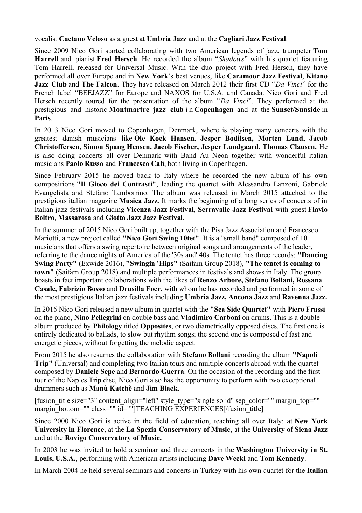vocalist **Caetano Veloso** as a guest at **Umbria Jazz** and at the **Cagliari Jazz Festival**.

Since 2009 Nico Gori started collaborating with two American legends of jazz, trumpeter **Tom Harrell** and pianist **Fred Hersch**. He recorded the album "*Shadows*" with his quartet featuring Tom Harrell, released for Universal Music. With the duo project with Fred Hersch, they have performed all over Europe and in **New York**'s best venues, like **Caramoor Jazz Festival**, **Kitano Jazz Club** and **The Falcon**. They have released on March 2012 their first CD "*Da Vinci*" for the French label "BEEJAZZ" for Europe and NAXOS for U.S.A. and Canada. Nico Gori and Fred Hersch recently toured for the presentation of the album "*Da Vinci*". They performed at the prestigious and historic **Montmartre jazz club** i n **Copenhagen** and at the **Sunset/Sunside** in **Paris**.

In 2013 Nico Gori moved to Copenhagen, Denmark, where is playing many concerts with the greatest danish musicians like **Ole Kock Hansen, Jesper Bodilsen, Morten Lund, Jacob Christoffersen, Simon Spang Hensen, Jacob Fischer, Jesper Lundgaard, Thomas Clausen.** He is also doing concerts all over Denmark with Band Au Neon together with wonderful italian musicians **Paolo Russo** and **Francesco Calì**, both living in Copenhagen.

Since February 2015 he moved back to Italy where he recorded the new album of his own compositions **"Il Gioco dei Contrasti"**, leading the quartet with Alessandro Lanzoni, Gabriele Evangelista and Stefano Tamborrino. The album was released in March 2015 attached to the prestigious italian magazine **Musica Jazz**. It marks the beginning of a long series of concerts of in Italian jazz festivals including **Vicenza Jazz Festival**, **Serravalle Jazz Festival** with guest **Flavio Boltro**, **Massarosa** and **Giotto Jazz Jazz Festival**.

In the summer of 2015 Nico Gori built up, together with the Pisa Jazz Association and Francesco Mariotti, a new project called **"Nico Gori Swing 10tet"**. It is a "small band" composed of 10 musicians that offers a swing repertoire between original songs and arrangements of the leader, referring to the dance nights of America of the '30s and' 40s. The tentet has three records: **"Dancing Swing Party"** (Exwide 2016), **"Swingin 'Hips"** (Saifam Group 2018), **"The tentet is coming to town"** (Saifam Group 2018) and multiple performances in festivals and shows in Italy. The group boasts in fact important collaborations with the likes of **Renzo Arbore, Stefano Bollani, Rossana Casale, Fabrizio Bosso** and **Drusilla Foer,** with whom he has recorded and performed in some of the most prestigious Italian jazz festivals including **Umbria Jazz, Ancona Jazz** and **Ravenna Jazz.**

In 2016 Nico Gori released a new album in quartet with the **"Sea Side Quartet"** with **Piero Frassi** on the piano, **Nino Pellegrini** on double bass and **Vladimiro Carboni** on drums. This is a double album produced by **Philology** titled **Opposites**, or two diametrically opposed discs. The first one is entirely dedicated to ballads, to slow but rhythm songs; the second one is composed of fast and energetic pieces, without forgetting the melodic aspect.

From 2015 he also resumes the collaboration with **Stefano Bollani** recording the album **"Napoli Trip"** (Universal) and completing two Italian tours and multiple concerts abroad with the quartet composed by **Daniele Sepe** and **Bernardo Guerra**. On the occasion of the recording and the first tour of the Naples Trip disc, Nico Gori also has the opportunity to perform with two exceptional drummers such as **Manù Katchè** and **Jim Black**.

[fusion\_title size="3" content\_align="left" style\_type="single solid" sep\_color="" margin\_top="" margin\_bottom="" class="" id=""]TEACHING EXPERIENCES[/fusion\_title]

Since 2000 Nico Gori is active in the field of education, teaching all over Italy: at **New York University in Florence**, at the **La Spezia Conservatory of Music**, at the **University of Siena Jazz** and at the **Rovigo Conservatory of Music.**

In 2003 he was invited to hold a seminar and three concerts in the **Washington University in St. Louis, U.S.A.**, performing with American artists including **Dave Weckl** and **Tom Kennedy**.

In March 2004 he held several seminars and concerts in Turkey with his own quartet for the **Italian**